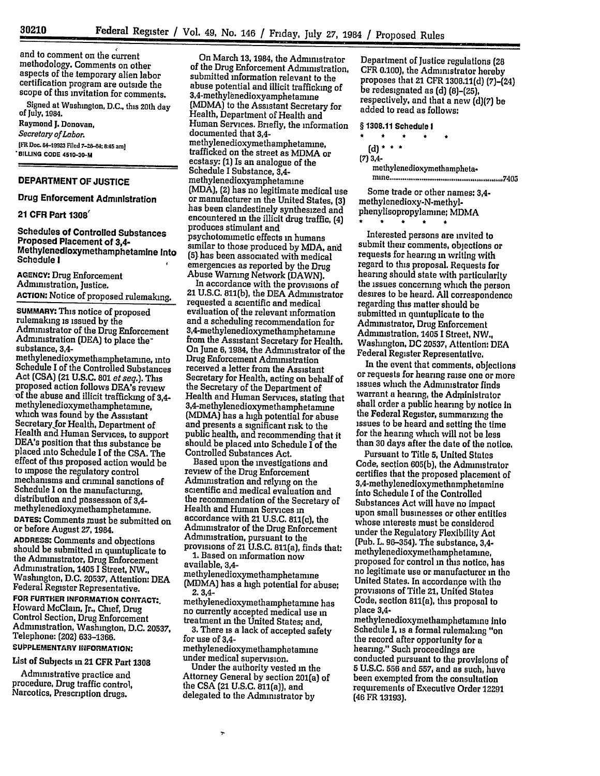and to comment on the current methodology. Comments on other aspects of the temporary alien labor certification program are outside the scope of this invitation for comments.

Signed at Washington, **D.C.,** this 20th day of July, 1984. Raymond **J.** Donovan, *Secretary of Labor.* **[FR Doe. 84-19923 Filed 7-26-84; 8.45 am] SBILLING cODE 4510-30-M**

#### DEPARTMENT OF **JUSTICE**

Drug Enforcement Administration

#### 21 CFR Part **1308'**

Schedules of Controlled Substances<br>Proposed Placement of 3.4-Methylenedioxymethamphetamine Into Schedule **I**

**AGENCY:** Drug Enforcement Administration, Justice. **ACTION:** Notice of proposed rulemaking.

**SUMMARY:** This notice of proposed rulemaking is issued **by** the Administrator of the Drug Enforcement Administration **(DEA)** to place the<sup>-</sup><br>substance, 3,4-

methylenedioxymethamphetamine, into Schedule **I** of the Controlled Substances Act **(CSA)** (21 **U.S.C. 801** *et seq.]. This* proposed action follows DEA's review of the abuse and illicit trafficking of 3,4-<br>methylenedioxymethamphetamine, which was found by the Assistant Secretary for Health, Department of Health **and** Human Services, to support **DEA's** position that this substance be placed into Schedule I of the **CSA.** The effect of this proposed action would be to impose the regulatory control mechanisms and criminal sanctions of Schedule I on the manufacturing,<br>distribution and possession of 3.4methylenedioxymethamphetanune. **DATES:** Comments must be submitted on or before August **27, 1984.**

**ADDRESS:** Comments and objections should be submitted in quintuplicate to the Administrator, Drug Enforcement<br>Administration, 1405 I Street, NW., Administration, 1405 **1** Street, NW., Washington, **D.C. 20537,** Attention: **DEA** Federal Register Representative.

**FOR FURTHER INFORMATION CONTACT:.** Howard McClain, Jr., Chief, Drug Control Section, Drug Enforcement Administration, Washington, D.C. **20537,** Telephone: (202) 633-1366.

# **SUPPLEMENTARY INFORMATION:**

List of Subjects m 21 CFR Part **1308**

Administrative practice and procedure, Drug traffic control, Narcotics, Prescription drugs.

On March **13,** 1984, the Administrator of the Drug Enforcement Administration, submitted information relevant to the abuse potential and illicit trafficking of <sup>3</sup> , <sup>4</sup> -methylenedioxyamphetamine (MDMA) to the Assistant Secretary for Health, Department of Health and Human Services. Briefly, the information documented that 3,4 methylenedioxymethamphetamine, trafficked on the street as MDMA or ecstasy: **(1)** Is an analogue of the Schedule **I** Substance, 3,4 methylenedioxyamphetamme (MDA), (2) has no legitimate medical use has been clandestinely synthesized and encountered **in** the illicit drug traffic, (4) produces stimulant and psychotomimetic effects in humans similar to those produced **by** MDA, and (5) has been associated with medical<br>emergencies as reported by the Drug

Abuse Warning Network (DAWN). In accordance with the provisions of 21 **U.S.C.** 811(b), the **DEA** Administrator requested a scientific and medical evaluation of the relevant information and a scheduling recommendation for <sup>3</sup> , 4 -methylenedioxymethamphetamine from the Assistant Secretary for Health. On June **6,** 1984, the Administrator of the Drug Enforcement Administration received a letter from the Assistant Secretary for Health, acting on behalf of the Secretary of the Department of Health and Human Services, stating that 3, 4 -methylenedioxymethamphetamine (MDMA) has a high potential for abuse and presents a significant risk to the public health, and recommending that it should be placed into Schedule I of the Controlled Substances Act.

Based upon the investigations and review of the Drug Enforcement Administration and relying on the scientific and medical evaluation and the recommendation of the Secretary of Health and Human Services in accordance with 21 **U.S.C.** 811(c), the Administrator of the Drug Enforcement Administration, pursuant to the provisions of 21 **U.S.C.** 811(a), finds that:

**1.** Based on information now available, 3,4-

methylenedioxymethamphetamme (MDMA) has a high potential for abuse; **2. 3,4-**

methylenedioxymethamphetamine has no currently accepted medical use in

3. There is a lack of accepted safety for use of 3,4-

methylenedioxymethamphetamine

Under the authority vested in the Attorney General by section 201(a) of the **CSA** (21 **U.S.C.** 811(a)), and delegated to the Administrator **by**

Department of Justice regulations (28 **CFR** 0.100), the Administrator hereby proposes that 21 CFR 1308.11(d) (7)-(24) be redesignated as **(d) (8)-(25),** respectively, and that a new **(d)(7)** be added to read as follows:

§ **1308.11** Schedule **I**

 $\bullet$ **(d)\* \* \* (7) 3,4** methylenedioxymethampheta. m ine **.................................................... 7,105**

Some trade or other names: 3,4 methylenedioxy-N-methylphenylisopropylamine; MDMA

 $\Delta$ 

Interested persons are invited to submit their comments, objections or requests for hearing in writing with regard to this proposal. Requests for hearing should state with particularity the issues concerning which the person desires to be heard. **All** correspondence regarding this matter should **be** submitted in quintuplicate to the Administrator, Drug Enforcement Administration, 1405 **1** Street, NW., Washington, **DC 20537,** Attention: DEA Federal Register Representative.

In the event that comments, objections or requests for hearing raise one or more issues which the Administrator finds warrant a hearing, the Administrator shall order a public hearing **by** notice In the Federal Register, summarizing the issues to be heard and setting the time for the hearing which will not **be** less than **30** days after the date of the notice.

Pursuant to Title **5,** United States Code, section **605(b),** the Administrator certifies that the proposed placement of 3,4-methylenedioxymethamphetamine into Schedule I of the Controlled Substances Act will have no impact upon small businesses or other entities whose interests must be considered under the Regulatory Flexibility Act (Pub. L. **96-354).** The substance, 3,4 methylenedioxymethamphetamine, proposed for control in this notice, has no legitimate use or manufacturer in the United States. In accordance with **the** provisions of Title 21, United States Code, section 811(a), this proposal to place 3,4-

methylenedioxymethamphatamine into Schedule **1,** is a formal rulemaking "on the record after opportunity for a hearing," Such proceedings are conducted pursuant to the provisions of **5 U.S.C. 556** and **557,** and as such, have been exempted from the consultation requirements of Executive Order 12291 (46 FR **13193).**